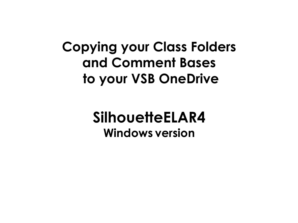## **Copying your Class Folders and Comment Bases to your VSB OneDrive**

## **SilhouetteELAR4 Windows version**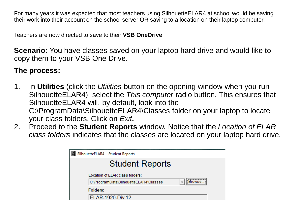For many years it was expected that most teachers using SilhouetteELAR4 at school would be saving their work into their account on the school server OR saving to a location on their laptop computer.

Teachers are now directed to save to their **VSB OneDrive**.

**Scenario**: You have classes saved on your laptop hard drive and would like to copy them to your VSB One Drive.

## **The process:**

- 1. In **Utilities** (click the *Utilities* button on the opening window when you run SilhouetteELAR4), select the *This computer* radio button. This ensures that SilhouetteELAR4 will, by default, look into the C:\ProgramData\SilhouetteELAR4\Classes folder on your laptop to locate your class folders. Click on *Exit***.**
- 2. Proceed to the **Student Reports** window. Notice that the *Location of ELAR class folders* indicates that the classes are located on your laptop hard drive.

| SilhouetteELAR4 - Student Reports                                                            |             |
|----------------------------------------------------------------------------------------------|-------------|
| <b>Student Reports</b>                                                                       |             |
| Location of ELAR class folders:<br>C:\ProgramData\SilhouetteELAR4\Classes<br><b>Folders:</b> | ,<br>Hrowse |
| <b>ELAR-1920-Div 12</b>                                                                      |             |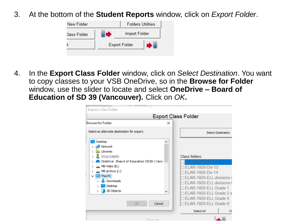3. At the bottom of the **Student Reports** window, click on *Export Folder*.



4. In the **Export Class Folder** window, click on *Select Destination*. You want to copy classes to your VSB OneDrive, so in the **Browse for Folder**  window, use the slider to locate and select **OneDrive – Board of Education of SD 39 (Vancouver).** Click on *OK***.**

| Export a Class Folder                                                                                                                         |                                                                                          |                                                                                                                                                              |
|-----------------------------------------------------------------------------------------------------------------------------------------------|------------------------------------------------------------------------------------------|--------------------------------------------------------------------------------------------------------------------------------------------------------------|
|                                                                                                                                               | <b>Export Class Folder</b>                                                               |                                                                                                                                                              |
| <b>Browse for Folder</b>                                                                                                                      | ×                                                                                        |                                                                                                                                                              |
| Select an alternate destination for export.                                                                                                   |                                                                                          | <b>Select Destination</b>                                                                                                                                    |
| Desktop<br>Network<br><b>Exp</b> Libraries                                                                                                    | ́                                                                                        |                                                                                                                                                              |
| OneDrive - Board of Education SD39 (Vanc<br>MB-Video (E:)<br>MB-archive (L:)<br>This PC<br>Downloads<br>Desktop<br>3D Objects<br>Cancel<br>OK | Class folders:<br>ELAR-1920-Div 12<br><b>ELAR-1920-Div 13</b><br><b>ELAR-1920-Div 14</b> | ELAR-1920-ELL divisions r<br>ELAR-1920-ELL divisions t<br>ELAR-1920-ELL Grade 1<br>ELAR-1920-ELL Grade 2 a<br>ELAR-1920-ELL Grade 4<br>ELAR-1920-ELL Grade K |
|                                                                                                                                               | Select All                                                                               |                                                                                                                                                              |
| Evropt                                                                                                                                        |                                                                                          |                                                                                                                                                              |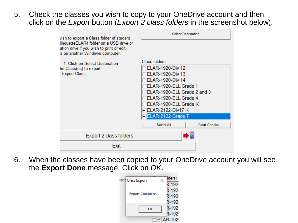5. Check the classes you wish to copy to your OneDrive account and then click on the *Export* button (*Export 2 class folders* in the screenshot below).

| wish to export a Class folder of student                                                                               | <b>Select Destination</b>   |                     |
|------------------------------------------------------------------------------------------------------------------------|-----------------------------|---------------------|
| ilhouetteELAR4 folder on a USB drive or<br>ation drive if you wish to print or edit<br>is on another Windows computer. |                             |                     |
| 1. Click on Select Destination                                                                                         | Class folders:              |                     |
| he Class(es) to export.                                                                                                | <b>ELAR-1920-Div 12</b>     |                     |
| I Export Class.                                                                                                        | <b>ELAR-1920-Div 13</b>     |                     |
|                                                                                                                        | <b>ELAR-1920-Div 14</b>     |                     |
|                                                                                                                        | ELAR-1920-ELL Grade 1       |                     |
|                                                                                                                        | ELAR-1920-ELL Grade 2 and 3 |                     |
|                                                                                                                        | ELAR-1920-ELL Grade 4       |                     |
|                                                                                                                        | ELAR-1920-ELL Grade K       |                     |
|                                                                                                                        | <b>□ ELAR-2122-Div17 K</b>  |                     |
|                                                                                                                        | ELAR-2122-Grade 7           |                     |
|                                                                                                                        | Select All                  | <b>Clear Checks</b> |
| Export 2 class folders                                                                                                 |                             |                     |
| Exit                                                                                                                   |                             |                     |

6. When the classes have been copied to your OneDrive account you will see the **Export Done** message. Click on *OK*.

| iatic Class Export | llders:         |
|--------------------|-----------------|
|                    | $R - 192$       |
|                    | R-192           |
| Export Complete.   | R-192           |
|                    | R-192           |
| ок                 | R-192           |
|                    | R-192           |
|                    | <b>ELAR-192</b> |